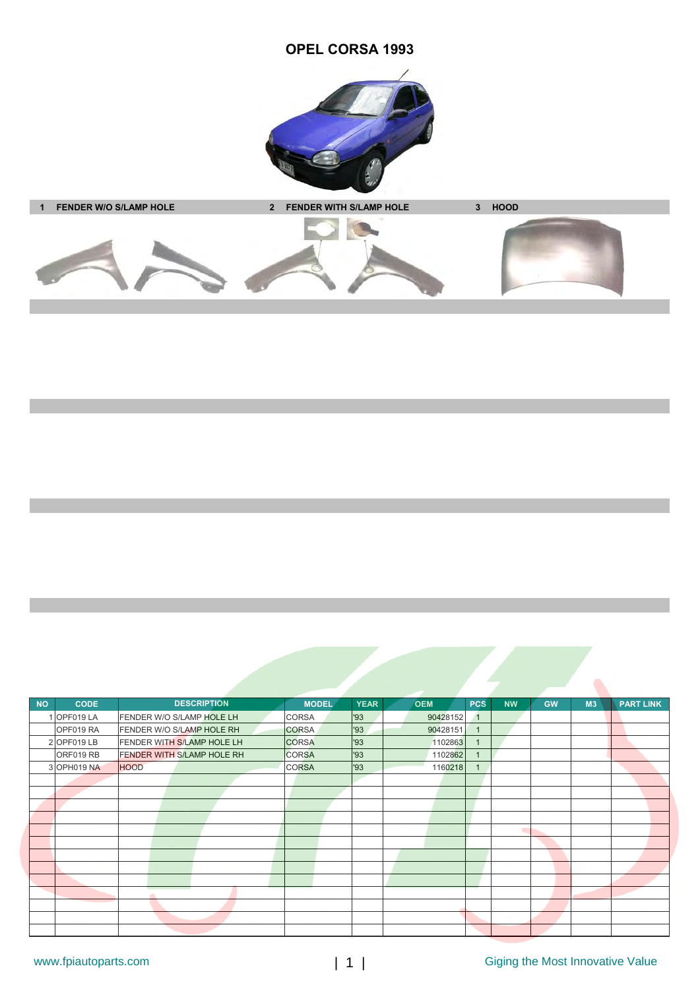## **OPEL CORSA 1993**





| <b>NO</b> | <b>CODE</b> | <b>DESCRIPTION</b>         | <b>MODEL</b> | <b>YEAR</b> | <b>OEM</b> | <b>PCS</b>     | <b>NW</b> | <b>GW</b> | M <sub>3</sub> | <b>PART LINK</b> |
|-----------|-------------|----------------------------|--------------|-------------|------------|----------------|-----------|-----------|----------------|------------------|
|           | OPF019 LA   | FENDER W/O S/LAMP HOLE LH  | CORSA        | 93          | 90428152   | $\mathbf{1}$   |           |           |                |                  |
|           | OPF019 RA   | FENDER W/O S/LAMP HOLE RH  | <b>CORSA</b> | '93         | 90428151   | $\overline{1}$ |           |           |                |                  |
|           | 2 OPF019 LB | FENDER WITH S/LAMP HOLE LH | <b>CORSA</b> | '93         | 1102863    | 1              |           |           |                |                  |
|           | ORF019 RB   | FENDER WITH S/LAMP HOLE RH | <b>CORSA</b> | '93         | 1102862    |                |           |           |                |                  |
|           | 3 OPH019 NA | <b>HOOD</b>                | <b>CORSA</b> | '93         | 1160218    |                |           |           |                |                  |
|           |             |                            |              |             |            |                |           |           |                |                  |
|           |             |                            |              |             |            |                |           |           |                |                  |
|           |             |                            |              |             |            |                |           |           |                |                  |
|           |             |                            |              |             |            |                |           |           |                |                  |
|           |             |                            |              |             |            |                | ٠         |           |                |                  |
|           |             |                            |              |             |            |                |           |           |                |                  |
|           |             |                            |              |             |            |                |           |           |                |                  |
|           |             |                            |              |             |            |                |           |           |                |                  |
|           |             |                            |              |             |            |                |           |           |                |                  |
|           |             |                            |              |             |            |                |           |           |                |                  |
|           |             |                            |              |             |            |                |           |           |                |                  |
|           |             |                            |              |             |            |                |           |           |                |                  |
|           |             |                            |              |             |            |                |           |           |                |                  |

 $\bullet$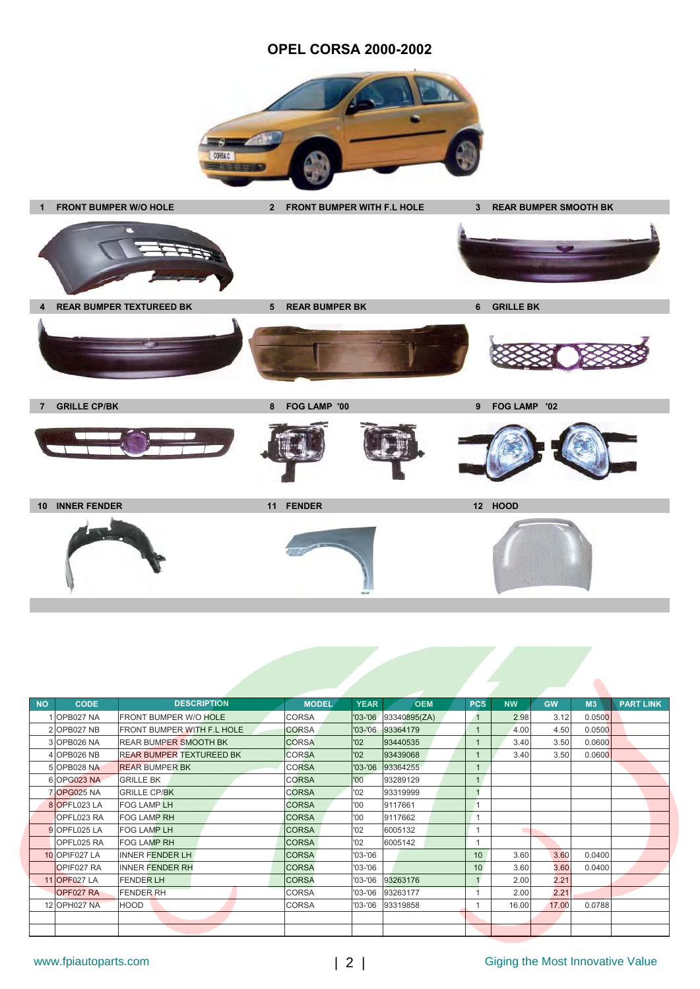## **OPEL CORSA 2000-2002**





| <b>NO</b> | <b>CODE</b>        | <b>DESCRIPTION</b>                | <b>MODEL</b> | <b>YEAR</b> | <b>OEM</b>       | <b>PCS</b>     | <b>NW</b> | <b>GW</b> | M <sub>3</sub> | <b>PART LINK</b> |
|-----------|--------------------|-----------------------------------|--------------|-------------|------------------|----------------|-----------|-----------|----------------|------------------|
|           | 1 OPB027 NA        | <b>FRONT BUMPER W/O HOLE</b>      | <b>CORSA</b> | $'03 - '06$ | 93340895(ZA)     | $\overline{1}$ | 2.98      | 3.12      | 0.0500         |                  |
|           | 2 OPB027 NB        | <b>FRONT BUMPER WITH F.L HOLE</b> | <b>CORSA</b> | $'03 - '06$ | 93364179         |                | 4.00      | 4.50      | 0.0500         |                  |
|           | 3 OPB026 NA        | <b>REAR BUMPER SMOOTH BK</b>      | <b>CORSA</b> | '02         | 93440535         |                | 3.40      | 3.50      | 0.0600         |                  |
|           | 4 OPB026 NB        | <b>REAR BUMPER TEXTUREED BK</b>   | <b>CORSA</b> | '02         | 93439068         |                | 3.40      | 3.50      | 0.0600         |                  |
|           | 5 OPB028 NA        | <b>REAR BUMPER BK</b>             | <b>CORSA</b> | $'03 - '06$ | 93364255         |                |           |           |                |                  |
|           | 6 OPG023 NA        | <b>GRILLE BK</b>                  | <b>CORSA</b> | '00         | 93289129         |                |           |           |                |                  |
|           | <b>7 OPG025 NA</b> | <b>GRILLE CP/BK</b>               | <b>CORSA</b> | '02         | 93319999         |                |           |           |                |                  |
|           | 8 OPFL023 LA       | <b>FOG LAMP LH</b>                | <b>CORSA</b> | '00         | 9117661          |                |           |           |                |                  |
|           | OPFL023 RA         | <b>FOG LAMP RH</b>                | <b>CORSA</b> | 00'         | 9117662          |                |           |           |                |                  |
|           | 9 OPFL025 LA       | <b>FOG LAMP LH</b>                | <b>CORSA</b> | '02         | 6005132          |                | ٠         |           |                |                  |
|           | OPFL025 RA         | <b>FOG LAMP RH</b>                | <b>CORSA</b> | 02          | 6005142          |                |           |           |                |                  |
|           | 10 OPIF027 LA      | <b>INNER FENDER LH</b>            | <b>CORSA</b> | $'03 - '06$ |                  | 10             | 3.60      | 3.60      | 0.0400         |                  |
|           | <b>OPIF027 RA</b>  | <b>INNER FENDER RH</b>            | <b>CORSA</b> | $'03 - '06$ |                  | 10             | 3.60      | 3.60      | 0.0400         |                  |
|           | 11 OPF027 LA       | <b>FENDER LH</b>                  | <b>CORSA</b> | '03-'06     | 93263176         |                | 2.00      | 2.21      |                |                  |
|           | OPF027 RA          | <b>FENDER RH</b>                  | <b>CORSA</b> | $'03 - '06$ | 93263177         |                | 2.00      | 2.21      |                |                  |
|           | 12 OPH027 NA       | <b>HOOD</b>                       | CORSA        |             | '03-'06 93319858 |                | 16.00     | 17.00     | 0.0788         |                  |
|           |                    |                                   |              |             |                  |                |           |           |                |                  |
|           |                    |                                   |              |             |                  |                |           |           |                |                  |

 $\bullet$